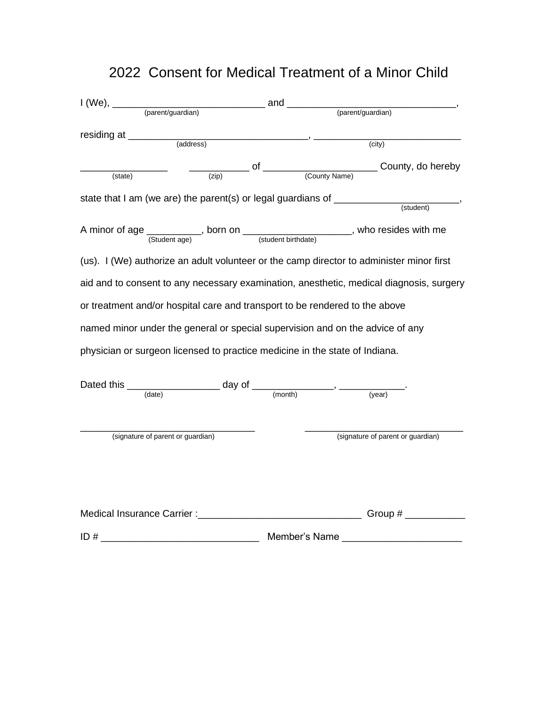## 2022 Consent for Medical Treatment of a Minor Child

| I (We), _____                                                                    |  |  |                                                                                                          |  |
|----------------------------------------------------------------------------------|--|--|----------------------------------------------------------------------------------------------------------|--|
|                                                                                  |  |  | (parent/guardian)                                                                                        |  |
|                                                                                  |  |  |                                                                                                          |  |
|                                                                                  |  |  |                                                                                                          |  |
| (state)                                                                          |  |  | County, do hereby (County Name) County, do hereby                                                        |  |
| state that I am (we are) the parent(s) or legal guardians of ___________________ |  |  |                                                                                                          |  |
|                                                                                  |  |  | (student)                                                                                                |  |
|                                                                                  |  |  | A minor of age $\frac{1}{(Student age)}$ , born on $\frac{1}{(student birthdate)}$ , who resides with me |  |
|                                                                                  |  |  | (us). I (We) authorize an adult volunteer or the camp director to administer minor first                 |  |
|                                                                                  |  |  | aid and to consent to any necessary examination, anesthetic, medical diagnosis, surgery                  |  |
| or treatment and/or hospital care and transport to be rendered to the above      |  |  |                                                                                                          |  |
|                                                                                  |  |  | named minor under the general or special supervision and on the advice of any                            |  |
| physician or surgeon licensed to practice medicine in the state of Indiana.      |  |  |                                                                                                          |  |
| Dated this $\frac{1}{(date)}$ day of $\frac{1}{(month)}$ , $\frac{1}{(event)}$   |  |  |                                                                                                          |  |
|                                                                                  |  |  |                                                                                                          |  |
| (signature of parent or guardian)                                                |  |  | (signature of parent or guardian)                                                                        |  |
|                                                                                  |  |  | Medical Insurance Carrier : Network and Security Croup #                                                 |  |
|                                                                                  |  |  |                                                                                                          |  |
|                                                                                  |  |  |                                                                                                          |  |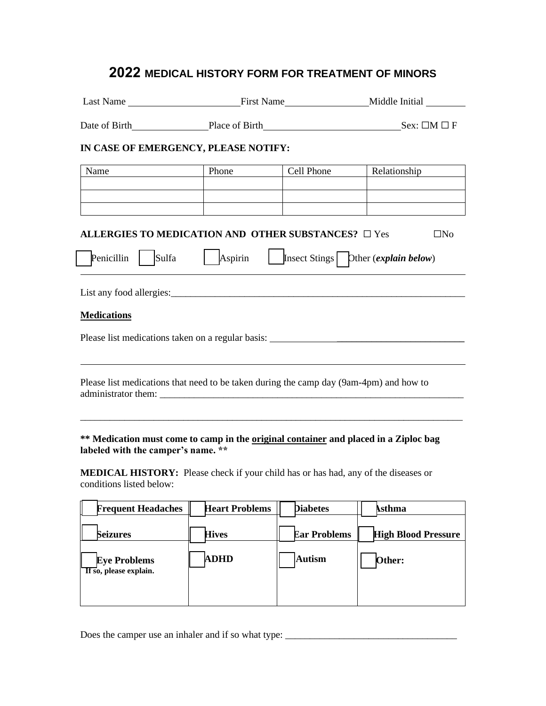## 2022 MEDICAL HISTORY FORM FOR TREATMENT OF MINORS

| Last Name First Name First Name                                                                                            |                       |                     | Middle Initial                        |
|----------------------------------------------------------------------------------------------------------------------------|-----------------------|---------------------|---------------------------------------|
| Date of Birth Place of Birth Sex: □M □ F                                                                                   |                       |                     |                                       |
| IN CASE OF EMERGENCY, PLEASE NOTIFY:                                                                                       |                       |                     |                                       |
| Name                                                                                                                       | Phone                 | Cell Phone          | Relationship                          |
|                                                                                                                            |                       |                     |                                       |
|                                                                                                                            |                       |                     |                                       |
| ALLERGIES TO MEDICATION AND OTHER SUBSTANCES? $\square$ Yes<br>Penicillin<br>Sulfa                                         | Aspirin               |                     | $\square$ No                          |
|                                                                                                                            |                       |                     | Insect Stings   Dther (explain below) |
|                                                                                                                            |                       |                     |                                       |
|                                                                                                                            |                       |                     |                                       |
| <b>Medications</b>                                                                                                         |                       |                     |                                       |
| Please list medications taken on a regular basis: _______________________________                                          |                       |                     |                                       |
|                                                                                                                            |                       |                     |                                       |
| Please list medications that need to be taken during the camp day (9am-4pm) and how to<br>administrator them:              |                       |                     |                                       |
|                                                                                                                            |                       |                     |                                       |
| ** Medication must come to camp in the original container and placed in a Ziploc bag<br>labeled with the camper's name. ** |                       |                     |                                       |
| <b>MEDICAL HISTORY:</b> Please check if your child has or has had, any of the diseases or<br>conditions listed below:      |                       |                     |                                       |
| <b>Frequent Headaches</b>                                                                                                  | <b>Heart Problems</b> | <b>Diabetes</b>     | <b>Asthma</b>                         |
| <b>Seizures</b>                                                                                                            | <b>Hives</b>          | <b>Ear Problems</b> | <b>High Blood Pressure</b>            |
| <b>Eye Problems</b><br>$\overline{H}$ so, please explain.                                                                  | ADHD                  | <b>Autism</b>       | Other:                                |